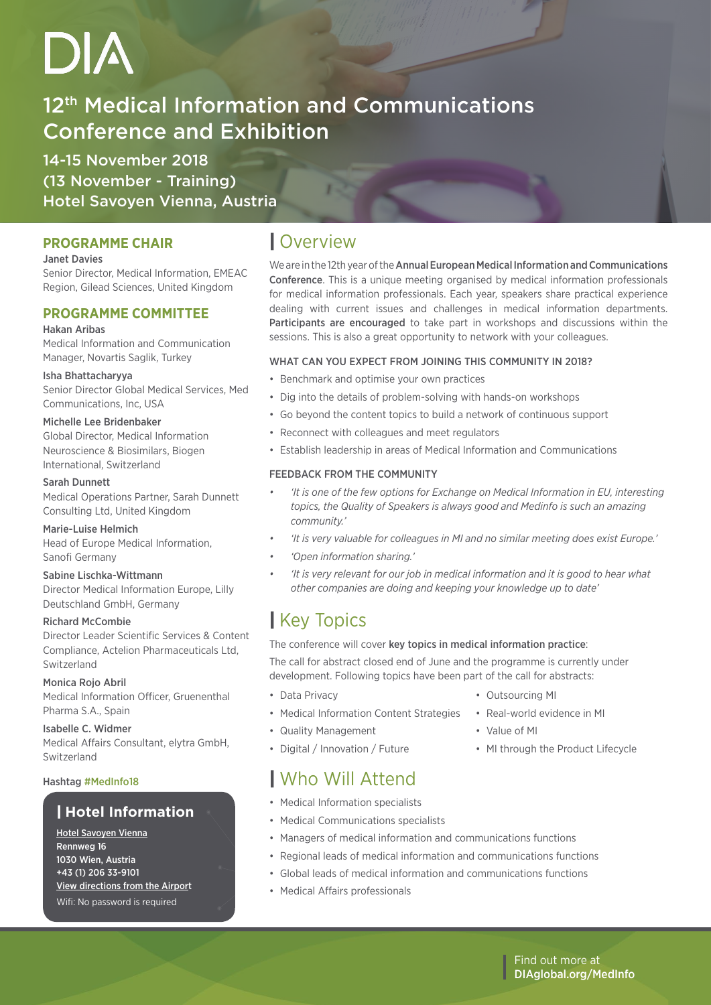## 12<sup>th</sup> Medical Information and Communications Conference and Exhibition

14-15 November 2018 (13 November - Training) Hotel Savoyen Vienna, Austria

## **PROGRAMME CHAIR**

## Janet Davies

Senior Director, Medical Information, EMEAC Region, Gilead Sciences, United Kingdom

## **PROGRAMME COMMITTEE**

## Hakan Aribas

Medical Information and Communication Manager, Novartis Saglik, Turkey

Isha Bhattacharyya Senior Director Global Medical Services, Med Communications, Inc, USA

## Michelle Lee Bridenbaker

Global Director, Medical Information Neuroscience & Biosimilars, Biogen International, Switzerland

## Sarah Dunnett

Medical Operations Partner, Sarah Dunnett Consulting Ltd, United Kingdom

## Marie-Luise Helmich

Head of Europe Medical Information, Sanofi Germany

## Sabine Lischka-Wittmann

Director Medical Information Europe, Lilly Deutschland GmbH, Germany

## Richard McCombie

Director Leader Scientific Services & Content Compliance, Actelion Pharmaceuticals Ltd, Switzerland

## Monica Rojo Abril

Medical Information Officer, Gruenenthal Pharma S.A., Spain

Isabelle C. Widmer Medical Affairs Consultant, elytra GmbH, Switzerland

## Hashtag #MedInfo18

## | **Hotel Information**

[Hotel Savoyen Vienna](https://www.austria-trend.at/en/hotels/savoyen/contact) Rennweg 16 1030 Wien, Austria +43 (1) 206 33-9101 [View directions from the Airport](https://www.google.com/maps/dir/A%C3%A9roport+de+Vienne-Schwechat+(VIE),+Wien-Flughafen,+Schwechat,+Autriche/Austria+Trend+Hotel+Savoyen+Vienna,+Rennweg+16,+1030+Wien,+Autriche/@48.1611641,16.4400024,13z/data=!3m1!4b1!4m14!4m13!1m5!1m1!1s0x476c55ab471abe9b:0x247a52108dd29b4b!2m2!1d16.5665751!2d48.1158333!1m5!1m1!1s0x476d077b31d0b5cf:0xbc49bc83b2c40cca!2m2!1d16.3844751!2d48.1950444!3e3) Wifi: No password is required

## | Overview

We are in the 12th year of the Annual European Medical Information and Communications Conference. This is a unique meeting organised by medical information professionals for medical information professionals. Each year, speakers share practical experience dealing with current issues and challenges in medical information departments. Participants are encouraged to take part in workshops and discussions within the sessions. This is also a great opportunity to network with your colleagues.

## WHAT CAN YOU EXPECT FROM JOINING THIS COMMUNITY IN 2018?

- Benchmark and optimise your own practices
- Dig into the details of problem-solving with hands-on workshops
- Go beyond the content topics to build a network of continuous support
- Reconnect with colleagues and meet regulators
- Establish leadership in areas of Medical Information and Communications

## FEEDBACK FROM THE COMMUNITY

- *• 'It is one of the few options for Exchange on Medical Information in EU, interesting topics, the Quality of Speakers is always good and Medinfo is such an amazing community.'*
- *• 'It is very valuable for colleagues in MI and no similar meeting does exist Europe.'*
- *• 'Open information sharing.'*
- *• 'It is very relevant for our job in medical information and it is good to hear what other companies are doing and keeping your knowledge up to date'*

## | Key Topics

The conference will cover key topics in medical information practice:

The call for abstract closed end of June and the programme is currently under development. Following topics have been part of the call for abstracts:

- Data Privacy
- Medical Information Content Strategies
- Quality Management
- Digital / Innovation / Future
- Real-world evidence in MI

• Outsourcing MI

- Value of MI
- MI through the Product Lifecycle

## | Who Will Attend

- Medical Information specialists
- Medical Communications specialists
- Managers of medical information and communications functions
- Regional leads of medical information and communications functions
- Global leads of medical information and communications functions
- Medical Affairs professionals

Find out more at [DIAglobal.org/](http://www.DIAglobal.org/PV)MedInfo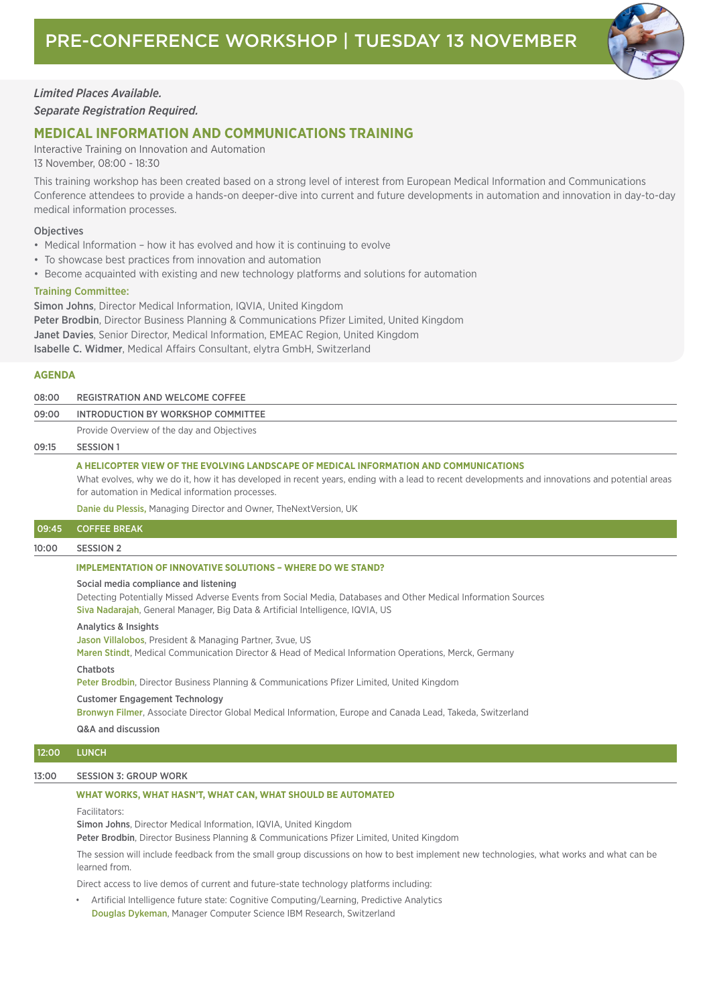

## *Limited Places Available.*

*Separate Registration Required.*

## **MEDICAL INFORMATION AND COMMUNICATIONS TRAINING**

Interactive Training on Innovation and Automation 13 November, 08:00 - 18:30

This training workshop has been created based on a strong level of interest from European Medical Information and Communications Conference attendees to provide a hands-on deeper-dive into current and future developments in automation and innovation in day-to-day medical information processes.

## **Objectives**

- Medical Information how it has evolved and how it is continuing to evolve
- To showcase best practices from innovation and automation
- Become acquainted with existing and new technology platforms and solutions for automation

## Training Committee:

Simon Johns, Director Medical Information, IQVIA, United Kingdom Peter Brodbin, Director Business Planning & Communications Pfizer Limited, United Kingdom Janet Davies, Senior Director, Medical Information, EMEAC Region, United Kingdom Isabelle C. Widmer, Medical Affairs Consultant, elytra GmbH, Switzerland

## **AGENDA**

| 08:00 | REGISTRATION AND WELCOME COFFEE                                                                                                                 |
|-------|-------------------------------------------------------------------------------------------------------------------------------------------------|
| 09:00 | INTRODUCTION BY WORKSHOP COMMITTEE                                                                                                              |
|       | Provide Overview of the day and Objectives                                                                                                      |
| 09:15 | SESSION 1                                                                                                                                       |
|       | A HELICOPTER VIEW OF THE EVOLVING LANDSCAPE OF MEDICAL INFORMATION AND COMMUNICATIONS                                                           |
|       | What evolves, why we do it, how it has developed in recent years, ending with a lead to recent developments and innovations and potential areas |
|       | for automation in Medical information processes.                                                                                                |
|       | Danie du Plessis, Managing Director and Owner, The Next Version, IIK                                                                            |

Danie du Plessis, Managing Director and Owner, TheNextVersion, UK

## 09:45 COFFEE BREAK

### 10:00 SESSION 2

## **IMPLEMENTATION OF INNOVATIVE SOLUTIONS – WHERE DO WE STAND?**

## Social media compliance and listening

Detecting Potentially Missed Adverse Events from Social Media, Databases and Other Medical Information Sources Siva Nadarajah, General Manager, Big Data & Artificial Intelligence, IQVIA, US

#### Analytics & Insights

Jason Villalobos, President & Managing Partner, 3vue, US

Maren Stindt, Medical Communication Director & Head of Medical Information Operations, Merck, Germany

#### Chatbots

Peter Brodbin, Director Business Planning & Communications Pfizer Limited, United Kingdom

#### Customer Engagement Technology

Bronwyn Filmer, Associate Director Global Medical Information, Europe and Canada Lead, Takeda, Switzerland

Q&A and discussion

## 12:00 LUNCH

## 13:00 SESSION 3: GROUP WORK

### **WHAT WORKS, WHAT HASN'T, WHAT CAN, WHAT SHOULD BE AUTOMATED**

Facilitators:

Simon Johns, Director Medical Information, IQVIA, United Kingdom

Peter Brodbin, Director Business Planning & Communications Pfizer Limited, United Kingdom

The session will include feedback from the small group discussions on how to best implement new technologies, what works and what can be learned from.

Direct access to live demos of current and future-state technology platforms including:

• Artificial Intelligence future state: Cognitive Computing/Learning, Predictive Analytics Douglas Dykeman, Manager Computer Science IBM Research, Switzerland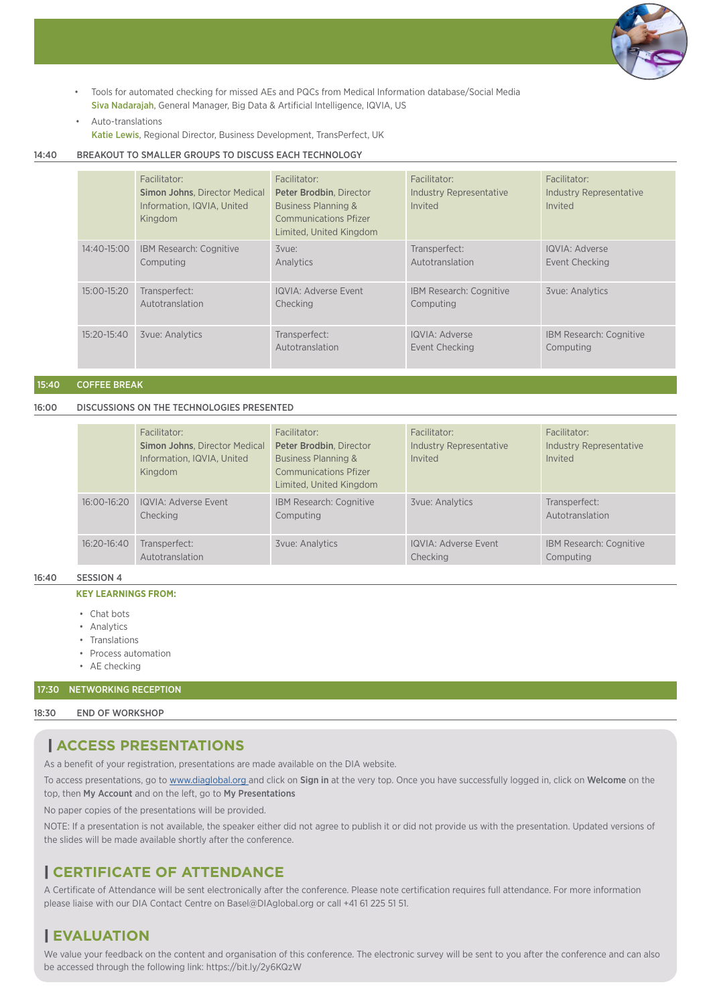

- Tools for automated checking for missed AEs and PQCs from Medical Information database/Social Media Siva Nadarajah, General Manager, Big Data & Artificial Intelligence, IQVIA, US
- Auto-translations

Katie Lewis, Regional Director, Business Development, TransPerfect, UK

## 14:40 BREAKOUT TO SMALLER GROUPS TO DISCUSS EACH TECHNOLOGY

|             | Facilitator:<br><b>Simon Johns. Director Medical</b><br>Information, IQVIA, United<br>Kingdom | Facilitator:<br>Peter Brodbin, Director<br><b>Business Planning &amp;</b><br><b>Communications Pfizer</b><br>Limited. United Kingdom | Facilitator:<br><b>Industry Representative</b><br>Invited | Facilitator:<br><b>Industry Representative</b><br>Invited |
|-------------|-----------------------------------------------------------------------------------------------|--------------------------------------------------------------------------------------------------------------------------------------|-----------------------------------------------------------|-----------------------------------------------------------|
| 14:40-15:00 | IBM Research: Cognitive<br>Computing                                                          | 3vue:<br>Analytics                                                                                                                   | Transperfect:<br>Autotranslation                          | IQVIA: Adverse<br>Event Checking                          |
| 15:00-15:20 | Transperfect:<br>Autotranslation                                                              | <b>IQVIA: Adverse Event</b><br>Checking                                                                                              | IBM Research: Cognitive<br>Computing                      | <b>3vue: Analytics</b>                                    |
| 15:20-15:40 | <b>3vue: Analytics</b>                                                                        | Transperfect:<br>Autotranslation                                                                                                     | IQVIA: Adverse<br>Event Checking                          | IBM Research: Cognitive<br>Computing                      |

15:40 COFFEE BREAK

16:00 DISCUSSIONS ON THE TECHNOLOGIES PRESENTED

|             | Facilitator:<br><b>Simon Johns, Director Medical</b><br>Information, IQVIA, United<br>Kingdom | Facilitator:<br>Peter Brodbin, Director<br><b>Business Planning &amp;</b><br><b>Communications Pfizer</b><br>Limited, United Kingdom | Facilitator:<br>Industry Representative<br>Invited | Facilitator:<br><b>Industry Representative</b><br>Invited |
|-------------|-----------------------------------------------------------------------------------------------|--------------------------------------------------------------------------------------------------------------------------------------|----------------------------------------------------|-----------------------------------------------------------|
| 16:00-16:20 | IQVIA: Adverse Event<br>Checking                                                              | IBM Research: Cognitive<br>Computing                                                                                                 | <b>3vue: Analytics</b>                             | Transperfect:<br>Autotranslation                          |
| 16:20-16:40 | Transperfect:<br>Autotranslation                                                              | <b>3vue: Analytics</b>                                                                                                               | IQVIA: Adverse Event<br>Checking                   | IBM Research: Cognitive<br>Computing                      |

## 16:40 SESSION 4

## **KEY LEARNINGS FROM:**

- Chat bots
- Analytics
- Translations
- Process automation
- AE checking

## 17:30 NETWORKING RECEPTION

## 18:30 END OF WORKSHOP

## | **ACCESS PRESENTATIONS**

As a benefit of your registration, presentations are made available on the DIA website.

To access presentations, go to [www.diaglobal.org](http://www.diaglobal.org ) and click on Sign in at the very top. Once you have successfully logged in, click on Welcome on the top, then My Account and on the left, go to My Presentations

No paper copies of the presentations will be provided.

NOTE: If a presentation is not available, the speaker either did not agree to publish it or did not provide us with the presentation. Updated versions of the slides will be made available shortly after the conference.

## | **CERTIFICATE OF ATTENDANCE**

A Certificate of Attendance will be sent electronically after the conference. Please note certification requires full attendance. For more information please liaise with our DIA Contact Centre on Basel@DIAglobal.org or call +41 61 225 51 51.

## | **EVALUATION**

We value your feedback on the content and organisation of this conference. The electronic survey will be sent to you after the conference and can also be accessed through the following link: <https://bit.ly/2y6KQzW>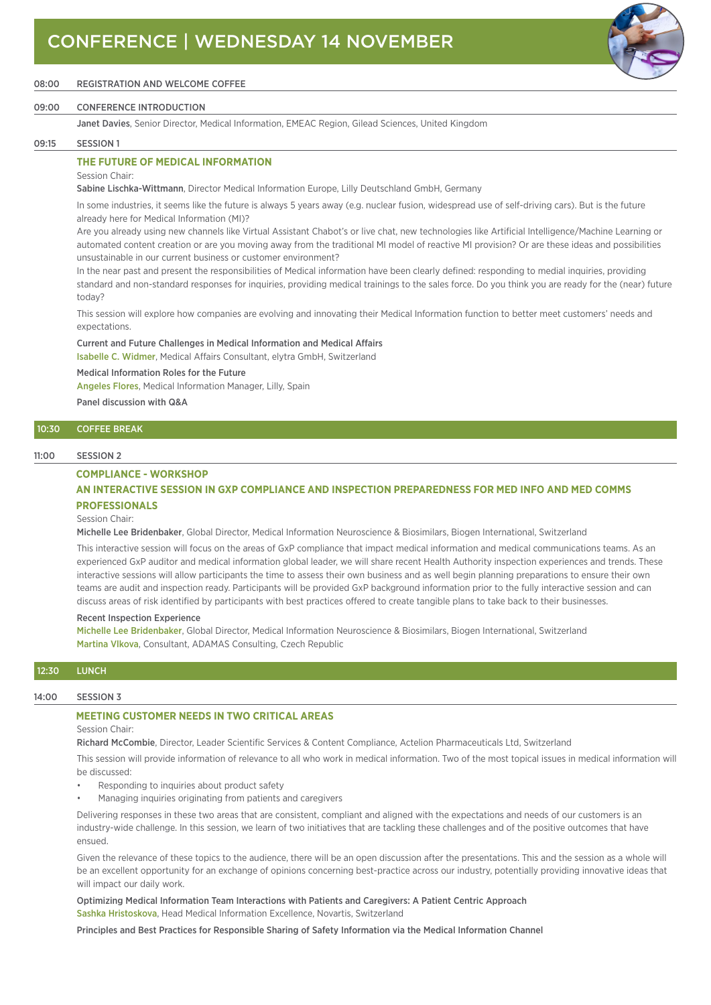

## 08:00 REGISTRATION AND WELCOME COFFEE

### 09:00 CONFERENCE INTRODUCTION

Janet Davies, Senior Director, Medical Information, EMEAC Region, Gilead Sciences, United Kingdom

#### 09:15 SESSION 1

## **THE FUTURE OF MEDICAL INFORMATION**

Session Chair:

Sabine Lischka-Wittmann, Director Medical Information Europe, Lilly Deutschland GmbH, Germany

In some industries, it seems like the future is always 5 years away (e.g. nuclear fusion, widespread use of self-driving cars). But is the future already here for Medical Information (MI)?

Are you already using new channels like Virtual Assistant Chabot's or live chat, new technologies like Artificial Intelligence/Machine Learning or automated content creation or are you moving away from the traditional MI model of reactive MI provision? Or are these ideas and possibilities unsustainable in our current business or customer environment?

In the near past and present the responsibilities of Medical information have been clearly defined: responding to medial inquiries, providing standard and non-standard responses for inquiries, providing medical trainings to the sales force. Do you think you are ready for the (near) future today?

This session will explore how companies are evolving and innovating their Medical Information function to better meet customers' needs and expectations.

## Current and Future Challenges in Medical Information and Medical Affairs

Isabelle C. Widmer, Medical Affairs Consultant, elytra GmbH, Switzerland

#### Medical Information Roles for the Future

Angeles Flores, Medical Information Manager, Lilly, Spain

Panel discussion with Q&A

## 10:30 COFFEE BREAK

### 11:00 SESSION 2

### **COMPLIANCE - WORKSHOP**

## **AN INTERACTIVE SESSION IN GXP COMPLIANCE AND INSPECTION PREPAREDNESS FOR MED INFO AND MED COMMS PROFESSIONALS**

#### Session Chair:

Michelle Lee Bridenbaker, Global Director, Medical Information Neuroscience & Biosimilars, Biogen International, Switzerland

This interactive session will focus on the areas of GxP compliance that impact medical information and medical communications teams. As an experienced GxP auditor and medical information global leader, we will share recent Health Authority inspection experiences and trends. These interactive sessions will allow participants the time to assess their own business and as well begin planning preparations to ensure their own teams are audit and inspection ready. Participants will be provided GxP background information prior to the fully interactive session and can discuss areas of risk identified by participants with best practices offered to create tangible plans to take back to their businesses.

#### Recent Inspection Experience

Michelle Lee Bridenbaker, Global Director, Medical Information Neuroscience & Biosimilars, Biogen International, Switzerland Martina Vlkova, Consultant, ADAMAS Consulting, Czech Republic

## 12:30 LUNCH

#### 14:00 SESSION 3

## **MEETING CUSTOMER NEEDS IN TWO CRITICAL AREAS**

## Session Chair:

Richard McCombie, Director, Leader Scientific Services & Content Compliance, Actelion Pharmaceuticals Ltd, Switzerland

This session will provide information of relevance to all who work in medical information. Two of the most topical issues in medical information will be discussed:

- Responding to inquiries about product safety
- Managing inquiries originating from patients and caregivers

Delivering responses in these two areas that are consistent, compliant and aligned with the expectations and needs of our customers is an industry-wide challenge. In this session, we learn of two initiatives that are tackling these challenges and of the positive outcomes that have ensued.

Given the relevance of these topics to the audience, there will be an open discussion after the presentations. This and the session as a whole will be an excellent opportunity for an exchange of opinions concerning best-practice across our industry, potentially providing innovative ideas that will impact our daily work.

Optimizing Medical Information Team Interactions with Patients and Caregivers: A Patient Centric Approach Sashka Hristoskova, Head Medical Information Excellence, Novartis, Switzerland

Principles and Best Practices for Responsible Sharing of Safety Information via the Medical Information Channel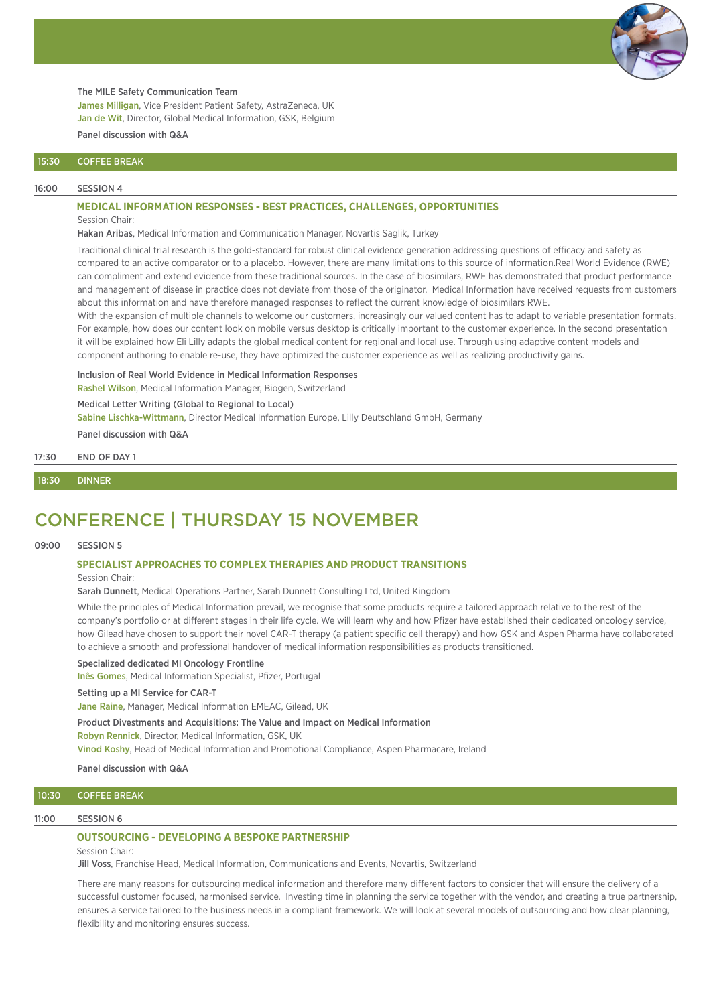

#### The MILE Safety Communication Team

James Milligan, Vice President Patient Safety, AstraZeneca, UK Jan de Wit, Director, Global Medical Information, GSK, Belgium

## Panel discussion with Q&A

### 15:30 COFFEE BREAK

#### 16:00 SESSION 4

## **MEDICAL INFORMATION RESPONSES - BEST PRACTICES, CHALLENGES, OPPORTUNITIES**

Session Chair:

Hakan Aribas, Medical Information and Communication Manager, Novartis Saglik, Turkey

Traditional clinical trial research is the gold-standard for robust clinical evidence generation addressing questions of efficacy and safety as compared to an active comparator or to a placebo. However, there are many limitations to this source of information.Real World Evidence (RWE) can compliment and extend evidence from these traditional sources. In the case of biosimilars, RWE has demonstrated that product performance and management of disease in practice does not deviate from those of the originator. Medical Information have received requests from customers about this information and have therefore managed responses to reflect the current knowledge of biosimilars RWE.

With the expansion of multiple channels to welcome our customers, increasingly our valued content has to adapt to variable presentation formats. For example, how does our content look on mobile versus desktop is critically important to the customer experience. In the second presentation it will be explained how Eli Lilly adapts the global medical content for regional and local use. Through using adaptive content models and component authoring to enable re-use, they have optimized the customer experience as well as realizing productivity gains.

Inclusion of Real World Evidence in Medical Information Responses

Rashel Wilson, Medical Information Manager, Biogen, Switzerland

#### Medical Letter Writing (Global to Regional to Local)

Sabine Lischka-Wittmann, Director Medical Information Europe, Lilly Deutschland GmbH, Germany

Panel discussion with Q&A

17:30 END OF DAY 1

#### 18:30 DINNER

## CONFERENCE | THURSDAY 15 NOVEMBER

### 09:00 SESSION 5

### **SPECIALIST APPROACHES TO COMPLEX THERAPIES AND PRODUCT TRANSITIONS**

### Session Chair:

Sarah Dunnett, Medical Operations Partner, Sarah Dunnett Consulting Ltd, United Kingdom

While the principles of Medical Information prevail, we recognise that some products require a tailored approach relative to the rest of the company's portfolio or at different stages in their life cycle. We will learn why and how Pfizer have established their dedicated oncology service, how Gilead have chosen to support their novel CAR-T therapy (a patient specific cell therapy) and how GSK and Aspen Pharma have collaborated to achieve a smooth and professional handover of medical information responsibilities as products transitioned.

#### Specialized dedicated MI Oncology Frontline

Inês Gomes, Medical Information Specialist, Pfizer, Portugal

#### Setting up a MI Service for CAR-T

Jane Raine, Manager, Medical Information EMEAC, Gilead, UK

#### Product Divestments and Acquisitions: The Value and Impact on Medical Information

Robyn Rennick, Director, Medical Information, GSK, UK

Vinod Koshy, Head of Medical Information and Promotional Compliance, Aspen Pharmacare, Ireland

Panel discussion with Q&A

## 10:30 COFFEE BREAK

#### 11:00 SESSION 6

#### **OUTSOURCING - DEVELOPING A BESPOKE PARTNERSHIP**

#### Session Chair:

Jill Voss, Franchise Head, Medical Information, Communications and Events, Novartis, Switzerland

There are many reasons for outsourcing medical information and therefore many different factors to consider that will ensure the delivery of a successful customer focused, harmonised service. Investing time in planning the service together with the vendor, and creating a true partnership, ensures a service tailored to the business needs in a compliant framework. We will look at several models of outsourcing and how clear planning, flexibility and monitoring ensures success.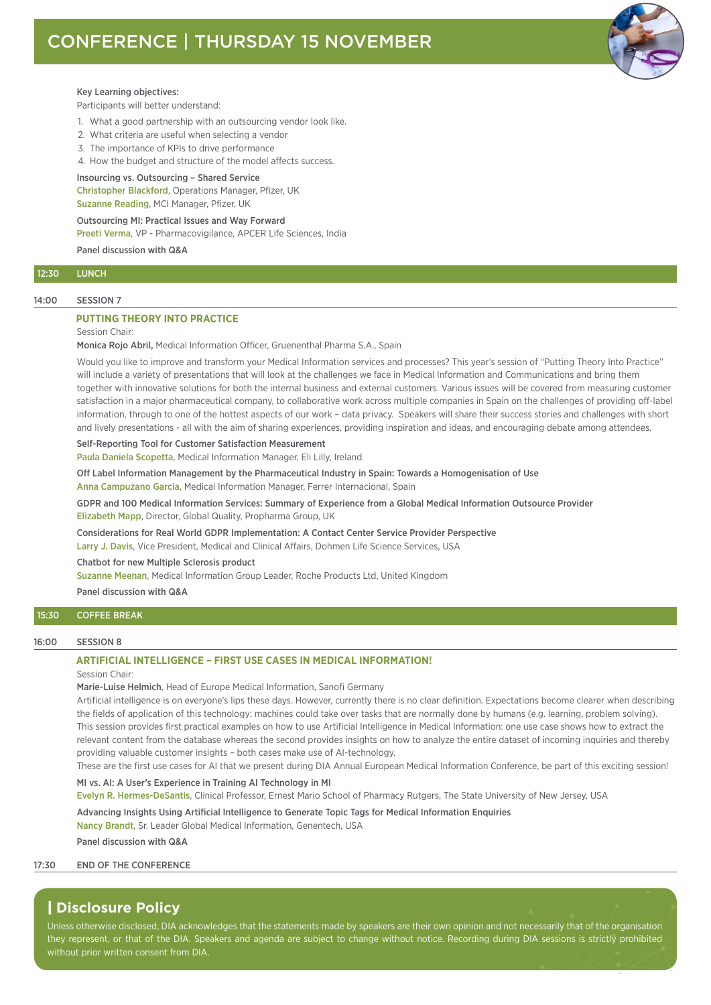

### Key Learning objectives:

Participants will better understand:

- 1. What a good partnership with an outsourcing vendor look like.
- 2. What criteria are useful when selecting a vendor
- 3. The importance of KPIs to drive performance
- 4. How the budget and structure of the model affects success.

## Insourcing vs. Outsourcing – Shared Service

Christopher Blackford, Operations Manager, Pfizer, UK Suzanne Reading, MCI Manager, Pfizer, UK

## Outsourcing MI: Practical Issues and Way Forward Preeti Verma, VP - Pharmacovigilance, APCER Life Sciences, India Panel discussion with Q&A

## 12:30 LUNCH

### 14:00 SESSION 7

## **PUTTING THEORY INTO PRACTICE**

## Session Chair:

Monica Rojo Abril, Medical Information Officer, Gruenenthal Pharma S.A., Spain

Would you like to improve and transform your Medical Information services and processes? This year's session of "Putting Theory Into Practice" will include a variety of presentations that will look at the challenges we face in Medical Information and Communications and bring them together with innovative solutions for both the internal business and external customers. Various issues will be covered from measuring customer satisfaction in a major pharmaceutical company, to collaborative work across multiple companies in Spain on the challenges of providing off-label information, through to one of the hottest aspects of our work – data privacy. Speakers will share their success stories and challenges with short and lively presentations - all with the aim of sharing experiences, providing inspiration and ideas, and encouraging debate among attendees.

#### Self-Reporting Tool for Customer Satisfaction Measurement

Paula Daniela Scopetta, Medical Information Manager, Eli Lilly, Ireland

Off Label Information Management by the Pharmaceutical Industry in Spain: Towards a Homogenisation of Use

Anna Campuzano Garcia, Medical Information Manager, Ferrer Internacional, Spain

GDPR and 100 Medical Information Services: Summary of Experience from a Global Medical Information Outsource Provider Elizabeth Mapp, Director, Global Quality, Propharma Group, UK

Considerations for Real World GDPR Implementation: A Contact Center Service Provider Perspective

Larry J. Davis, Vice President, Medical and Clinical Affairs, Dohmen Life Science Services, USA

Chatbot for new Multiple Sclerosis product

Suzanne Meenan, Medical Information Group Leader, Roche Products Ltd, United Kingdom

Panel discussion with Q&A

### 15:30 COFFEE BREAK

#### 16:00 SESSION 8

## **ARTIFICIAL INTELLIGENCE – FIRST USE CASES IN MEDICAL INFORMATION!**

## Session Chair:

Marie-Luise Helmich, Head of Europe Medical Information, Sanofi Germany

Artificial intelligence is on everyone's lips these days. However, currently there is no clear definition. Expectations become clearer when describing the fields of application of this technology: machines could take over tasks that are normally done by humans (e.g. learning, problem solving). This session provides first practical examples on how to use Artificial Intelligence in Medical Information: one use case shows how to extract the relevant content from the database whereas the second provides insights on how to analyze the entire dataset of incoming inquiries and thereby providing valuable customer insights – both cases make use of AI-technology.

These are the first use cases for AI that we present during DIA Annual European Medical Information Conference, be part of this exciting session!

MI vs. AI: A User's Experience in Training AI Technology in MI

Evelyn R. Hermes-DeSantis, Clinical Professor, Ernest Mario School of Pharmacy Rutgers, The State University of New Jersey, USA

Advancing Insights Using Artificial Intelligence to Generate Topic Tags for Medical Information Enquiries

Nancy Brandt, Sr. Leader Global Medical Information, Genentech, USA

Panel discussion with Q&A

### 17:30 END OF THE CONFERENCE

## | **Disclosure Policy**

Unless otherwise disclosed, DIA acknowledges that the statements made by speakers are their own opinion and not necessarily that of the organisation they represent, or that of the DIA. Speakers and agenda are subject to change without notice. Recording during DIA sessions is strictly prohibited without prior written consent from DIA.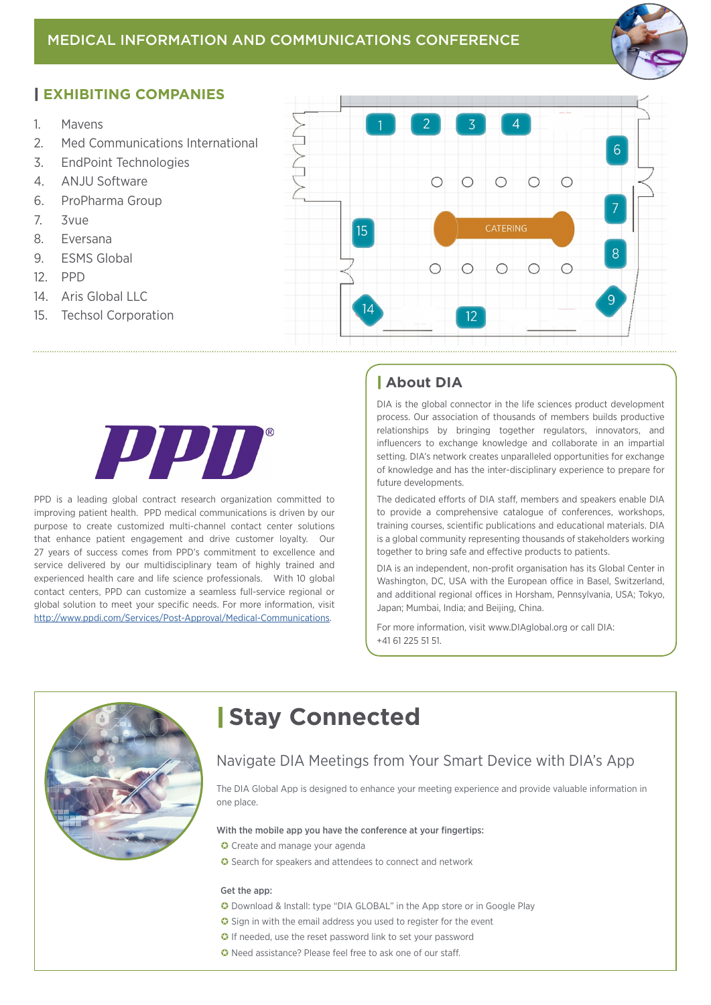

## | **EXHIBITING COMPANIES**

- 1. Mavens
- 2. Med Communications International
- 3. EndPoint Technologies
- 4. ANJU Software
- 6. ProPharma Group
- 7. 3vue
- 8. Eversana
- 9. ESMS Global
- 12. PPD
- 14 Aris Global LLC
- 15. Techsol Corporation





PPD is a leading global contract research organization committed to improving patient health. PPD medical communications is driven by our purpose to create customized multi-channel contact center solutions that enhance patient engagement and drive customer loyalty. Our 27 years of success comes from PPD's commitment to excellence and service delivered by our multidisciplinary team of highly trained and experienced health care and life science professionals. With 10 global contact centers, PPD can customize a seamless full-service regional or global solution to meet your specific needs. For more information, visit <http://www.ppdi.com/Services/Post-Approval/Medical-Communications>.

## | **About DIA**

DIA is the global connector in the life sciences product development process. Our association of thousands of members builds productive relationships by bringing together regulators, innovators, and influencers to exchange knowledge and collaborate in an impartial setting. DIA's network creates unparalleled opportunities for exchange of knowledge and has the inter-disciplinary experience to prepare for future developments.

The dedicated efforts of DIA staff, members and speakers enable DIA to provide a comprehensive catalogue of conferences, workshops, training courses, scientific publications and educational materials. DIA is a global community representing thousands of stakeholders working together to bring safe and effective products to patients.

DIA is an independent, non-profit organisation has its Global Center in Washington, DC, USA with the European office in Basel, Switzerland, and additional regional offices in Horsham, Pennsylvania, USA; Tokyo, Japan; Mumbai, India; and Beijing, China.

For more information, visit www.DIAglobal.org or call DIA: +41 61 225 51 51.



# | **Stay Connected**

## Navigate DIA Meetings from Your Smart Device with DIA's App

The DIA Global App is designed to enhance your meeting experience and provide valuable information in one place.

## With the mobile app you have the conference at your fingertips:

- C Create and manage your agenda
- G Search for speakers and attendees to connect and network

## Get the app:

- Download & Install: type "DIA GLOBAL" in the App store or in Google Play
- G Sign in with the email address you used to register for the event
- **O** If needed, use the reset password link to set your password
- Need assistance? Please feel free to ask one of our staff.